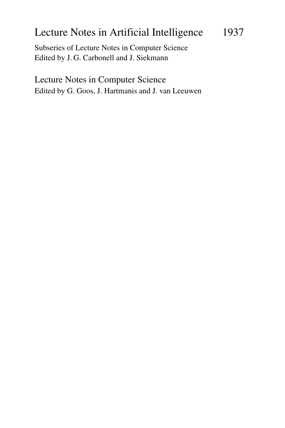## Lecture Notes in Artificial Intelligence 1937

Subseries of Lecture Notes in Computer Science Edited by J. G. Carbonell and J. Siekmann

Lecture Notes in Computer Science Edited by G. Goos, J. Hartmanis and J. van Leeuwen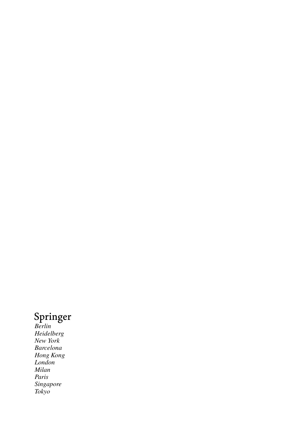# 3 *Berlin*

*Heidelberg New York Barcelona Hong Kong London Milan Paris Singapore Tokyo*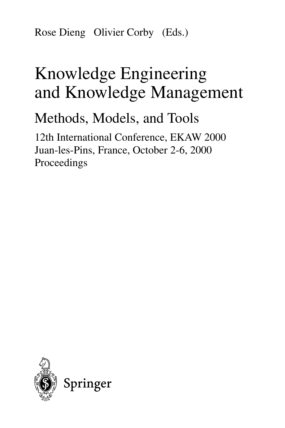Rose Dieng Olivier Corby (Eds.)

## Knowledge Engineering and Knowledge Management

Methods, Models, and Tools

12th International Conference, EKAW 2000 Juan-les-Pins, France, October 2-6, 2000 Proceedings

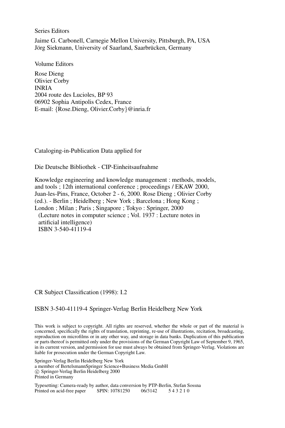#### Series Editors

Jaime G. Carbonell, Carnegie Mellon University, Pittsburgh, PA, USA Jörg Siekmann, University of Saarland, Saarbrücken, Germany

Volume Editors

Rose Dieng Olivier Corby INRIA 2004 route des Lucioles, BP 93 06902 Sophia Antipolis Cedex, France E-mail: {Rose.Dieng, Olivier.Corby}@inria.fr

Cataloging-in-Publication Data applied for

Die Deutsche Bibliothek - CIP-Einheitsaufnahme

Knowledge engineering and knowledge management : methods, models, and tools ; 12th international conference ; proceedings / EKAW 2000, Juan-les-Pins, France, October 2 - 6, 2000. Rose Dieng ; Olivier Corby (ed.). - Berlin ; Heidelberg ; New York ; Barcelona ; Hong Kong ; London ; Milan ; Paris ; Singapore ; Tokyo : Springer, 2000 (Lecture notes in computer science ; Vol. 1937 : Lecture notes in artificial intelligence) ISBN 3-540-41119-4

CR Subject Classification (1998): I.2

ISBN 3-540-41119-4 Springer-Verlag Berlin Heidelberg New York

This work is subject to copyright. All rights are reserved, whether the whole or part of the material is concerned, specifically the rights of translation, reprinting, re-use of illustrations, recitation, broadcasting, reproduction on microfilms or in any other way, and storage in data banks. Duplication of this publication or parts thereof is permitted only under the provisions of the German Copyright Law of September 9, 1965, in its current version, and permission for use must always be obtained from Springer-Verlag. Violations are liable for prosecution under the German Copyright Law.

Springer-Verlag Berlin Heidelberg New York a member of BertelsmannSpringer Science+Business Media GmbH c Springer-Verlag Berlin Heidelberg 2000 Printed in Germany

Typesetting: Camera-ready by author, data conversion by PTP-Berlin, Stefan Sossna Printed on acid-free paper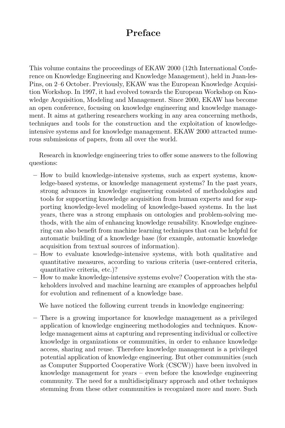## **Preface**

This volume contains the proceedings of EKAW 2000 (12th International Conference on Knowledge Engineering and Knowledge Management), held in Juan-les-Pins, on 2–6 October. Previously, EKAW was the European Knowledge Acquisition Workshop. In 1997, it had evolved towards the European Workshop on Knowledge Acquisition, Modeling and Management. Since 2000, EKAW has become an open conference, focusing on knowledge engineering and knowledge management. It aims at gathering researchers working in any area concerning methods, techniques and tools for the construction and the exploitation of knowledgeintensive systems and for knowledge management. EKAW 2000 attracted numerous submissions of papers, from all over the world.

Research in knowledge engineering tries to offer some answers to the following questions:

- **–** How to build knowledge-intensive systems, such as expert systems, knowledge-based systems, or knowledge management systems? In the past years, strong advances in knowledge engineering consisted of methodologies and tools for supporting knowledge acquisition from human experts and for supporting knowledge-level modeling of knowledge-based systems. In the last years, there was a strong emphasis on ontologies and problem-solving methods, with the aim of enhancing knowledge reusability. Knowledge engineering can also benefit from machine learning techniques that can be helpful for automatic building of a knowledge base (for example, automatic knowledge acquisition from textual sources of information).
- **–** How to evaluate knowledge-intensive systems, with both qualitative and quantitative measures, according to various criteria (user-centered criteria, quantitative criteria, etc.)?
- **–** How to make knowledge-intensive systems evolve? Cooperation with the stakeholders involved and machine learning are examples of approaches helpful for evolution and refinement of a knowledge base.

We have noticed the following current trends in knowledge engineering:

**–** There is a growing importance for knowledge management as a privileged application of knowledge engineering methodologies and techniques. Knowledge management aims at capturing and representing individual or collective knowledge in organizations or communities, in order to enhance knowledge access, sharing and reuse. Therefore knowledge management is a privileged potential application of knowledge engineering. But other communities (such as Computer Supported Cooperative Work (CSCW)) have been involved in knowledge management for years – even before the knowledge engineering community. The need for a multidisciplinary approach and other techniques stemming from these other communities is recognized more and more. Such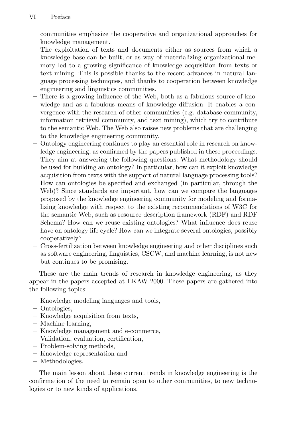communities emphasize the cooperative and organizational approaches for knowledge management.

- **–** The exploitation of texts and documents either as sources from which a knowledge base can be built, or as way of materializing organizational memory led to a growing significance of knowledge acquisition from texts or text mining. This is possible thanks to the recent advances in natural language processing techniques, and thanks to cooperation between knowledge engineering and linguistics communities.
- **–** There is a growing influence of the Web, both as a fabulous source of knowledge and as a fabulous means of knowledge diffusion. It enables a convergence with the research of other communities (e.g. database community, information retrieval community, and text mining), which try to contribute to the semantic Web. The Web also raises new problems that are challenging to the knowledge engineering community.
- **–** Ontology engineering continues to play an essential role in research on knowledge engineering, as confirmed by the papers published in these proceedings. They aim at answering the following questions: What methodology should be used for building an ontology? In particular, how can it exploit knowledge acquisition from texts with the support of natural language processing tools? How can ontologies be specified and exchanged (in particular, through the Web)? Since standards are important, how can we compare the languages proposed by the knowledge engineering community for modeling and formalizing knowledge with respect to the existing recommendations of W3C for the semantic Web, such as resource description framework (RDF) and RDF Schema? How can we reuse existing ontologies? What influence does reuse have on ontology life cycle? How can we integrate several ontologies, possibly cooperatively?
- **–** Cross-fertilization between knowledge engineering and other disciplines such as software engineering, linguistics, CSCW, and machine learning, is not new but continues to be promising.

These are the main trends of research in knowledge engineering, as they appear in the papers accepted at EKAW 2000. These papers are gathered into the following topics:

- **–** Knowledge modeling languages and tools,
- **–** Ontologies,
- **–** Knowledge acquisition from texts,
- **–** Machine learning,
- **–** Knowledge management and e-commerce,
- **–** Validation, evaluation, certification,
- **–** Problem-solving methods,
- **–** Knowledge representation and
- **–** Methodologies.

The main lesson about these current trends in knowledge engineering is the confirmation of the need to remain open to other communities, to new technologies or to new kinds of applications.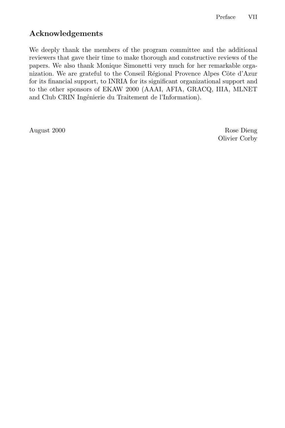## **Acknowledgements**

We deeply thank the members of the program committee and the additional reviewers that gave their time to make thorough and constructive reviews of the papers. We also thank Monique Simonetti very much for her remarkable organization. We are grateful to the Conseil Régional Provence Alpes Côte d'Azur for its financial support, to INRIA for its significant organizational support and to the other sponsors of EKAW 2000 (AAAI, AFIA, GRACQ, IIIA, MLNET and Club CRIN Ingénierie du Traitement de l'Information).

August 2000 Rose Dieng Olivier Corby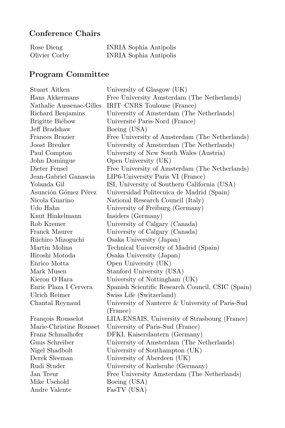## **Conference Chairs**

| Rose Dieng    | INRIA Sophia Antipolis |
|---------------|------------------------|
| Olivier Corby | INRIA Sophia Antipolis |

## **Program Committee**

| Stuart Aitken            | University of Glasgow (UK)                        |
|--------------------------|---------------------------------------------------|
| Hans Akkermans           | Free University Amsterdam (The Netherlands)       |
| Nathalie Aussenac-Gilles | IRIT-CNRS Toulouse (France)                       |
| Richard Benjamins        | University of Amsterdam (The Netherlands)         |
| Brigitte Biébow          | Université Paris-Nord (France)                    |
| Jeff Bradshaw            | Boeing (USA)                                      |
| Frances Brazier          | Free University of Amsterdam (The Netherlands)    |
| Joost Breuker            | University of Amsterdam (The Netherlands)         |
| Paul Compton             | University of New South Wales (Austria)           |
| John Domingue            | Open University (UK)                              |
| Dieter Fensel            | Free University of Amsterdam (The Netherlands)    |
| Jean-Gabriel Ganascia    | LIP6-University Paris VI (France)                 |
| Yolanda Gil              | ISI, University of Southern California (USA)      |
| Asunción Gómez Pérez     | Universidad Politecnica de Madrid (Spain)         |
| Nicola Guarino           | National Research Council (Italy)                 |
| Udo Hahn                 | University of Freiburg (Germany)                  |
| Knut Hinkelmann          | Insiders (Germany)                                |
| Rob Kremer               | University of Calgary (Canada)                    |
| Franck Maurer            | University of Calgary (Canada)                    |
| Riichiro Mizoguchi       | Osaka University (Japan)                          |
| Martin Molina            | Technical University of Madrid (Spain)            |
| Hiroshi Motoda           | Osaka University (Japan)                          |
| Enrico Motta             | Open University (UK)                              |
| Mark Musen               | Stanford University (USA)                         |
| Kieron O'Hara            | University of Nottingham (UK)                     |
| Enric Plaza I Cervera    | Spanish Scientific Research Council, CSIC (Spain) |
| Ulrich Reimer            | Swiss Life (Switzerland)                          |
| Chantal Reynaud          | University of Nanterre & University of Paris-Sud  |
|                          | (France)                                          |
| François Rousselot       | LIIA-ENSAIS, University of Strasbourg (France)    |
| Marie-Christine Rousset  | University of Paris-Sud (France)                  |
| Franz Schmalhofer        | DFKI, Kaiserslautern (Germany)                    |
| Guus Schreiber           | University of Amsterdam (The Netherlands)         |
| Nigel Shadbolt           | University of Southampton (UK)                    |
| Derek Sleeman            | University of Aberdeen (UK)                       |
| Rudi Studer              | University of Karlsruhe (Germany)                 |
| Jan Treur                | Free University Amsterdam (The Netherlands)       |
| Mike Uschold             | Boeing (USA)                                      |
| Andre Valente            | FasTV (USA)                                       |
|                          |                                                   |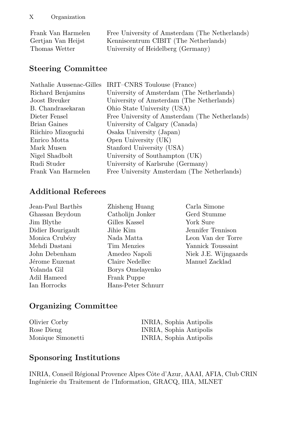| Frank Van Harmelen | Free University of Amsterdam (The Netherlands) |
|--------------------|------------------------------------------------|
| Gertian Van Heijst | Kenniscentrum CIBIT (The Netherlands)          |
| Thomas Wetter      | University of Heidelberg (Germany)             |

## **Steering Committee**

| IRIT-CNRS Toulouse (France)                    |
|------------------------------------------------|
| University of Amsterdam (The Netherlands)      |
| University of Amsterdam (The Netherlands)      |
| Ohio State University (USA)                    |
| Free University of Amsterdam (The Netherlands) |
| University of Calgary (Canada)                 |
| Osaka University (Japan)                       |
| Open University (UK)                           |
| Stanford University (USA)                      |
| University of Southampton (UK)                 |
| University of Karlsruhe (Germany)              |
| Free University Amsterdam (The Netherlands)    |
|                                                |

## **Additional Referees**

| Jean-Paul Barthès | Zhisheng Huang     | Carla Simone         |
|-------------------|--------------------|----------------------|
| Ghassan Beydoun   | Catholijn Jonker   | Gerd Stumme          |
| Jim Blythe        | Gilles Kassel      | York Sure            |
| Didier Bourigault | Jihie Kim          | Jennifer Tennison    |
| Monica Crubézy    | Nada Matta         | Leon Van der Torre   |
| Mehdi Dastani     | Tim Menzies        | Yannick Toussaint    |
| John Debenham     | Amedeo Napoli      | Niek J.E. Wijngaards |
| Jérome Euzenat    | Claire Nedellec    | Manuel Zacklad       |
| Yolanda Gil       | Borys Omelayenko   |                      |
| Adil Hameed       | Frank Puppe        |                      |
| Ian Horrocks      | Hans-Peter Schnurr |                      |
|                   |                    |                      |

## **Organizing Committee**

| Olivier Corby     | INRIA, Sophia Antipolis |
|-------------------|-------------------------|
| Rose Dieng        | INRIA, Sophia Antipolis |
| Monique Simonetti | INRIA, Sophia Antipolis |

## **Sponsoring Institutions**

INRIA, Conseil Régional Provence Alpes Côte d'Azur, AAAI, AFIA, Club CRIN Ingénierie du Traitement de l'Information, GRACQ, IIIA, MLNET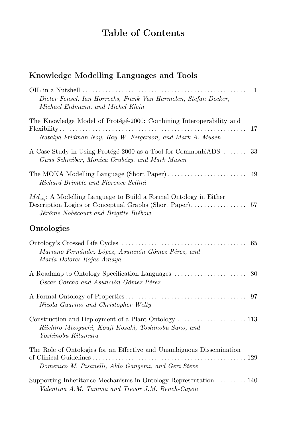## **Table of Contents**

## **Knowledge Modelling Languages and Tools**

| Dieter Fensel, Ian Horrocks, Frank Van Harmelen, Stefan Decker,<br>Michael Erdmann, and Michel Klein                                                                                | 1  |
|-------------------------------------------------------------------------------------------------------------------------------------------------------------------------------------|----|
| The Knowledge Model of Protégé-2000: Combining Interoperability and<br>Natalya Fridman Noy, Ray W. Fergerson, and Mark A. Musen                                                     | 17 |
| A Case Study in Using Protégé-2000 as a Tool for CommonKADS<br>Guus Schreiber, Monica Crubézy, and Mark Musen                                                                       | 33 |
| The MOKA Modelling Language (Short Paper)<br>Richard Brimble and Florence Sellini                                                                                                   | 49 |
| $Md_{\omega\varsigma}$ : A Modelling Language to Build a Formal Ontology in Either<br>Description Logics or Conceptual Graphs (Short Paper)<br>Jérôme Nobécourt and Brigitte Biébow | 57 |
| Ontologies                                                                                                                                                                          |    |
| Mariano Fernández López, Asunción Gómez Pérez, and<br>María Dolores Rojas Amaya                                                                                                     | 65 |
| Oscar Corcho and Asunción Gómez Pérez                                                                                                                                               | 80 |
| Nicola Guarino and Christopher Welty                                                                                                                                                |    |
| Riichiro Mizoguchi, Kouji Kozaki, Toshinobu Sano, and<br>Yoshinobu Kitamura                                                                                                         |    |
| The Role of Ontologies for an Effective and Unambiguous Dissemination<br>Domenico M. Pisanelli, Aldo Gangemi, and Geri Steve                                                        |    |
| Supporting Inheritance Mechanisms in Ontology Representation  140<br>Valentina A.M. Tamma and Trevor J.M. Bench-Capon                                                               |    |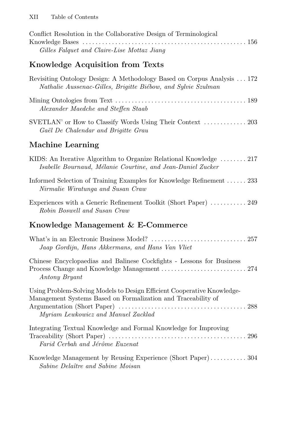| Conflict Resolution in the Collaborative Design of Terminological |  |
|-------------------------------------------------------------------|--|
|                                                                   |  |
| Gilles Falquet and Claire-Lise Mottaz Jiang                       |  |

## **Knowledge Acquisition from Texts**

| Revisiting Ontology Design: A Methodology Based on Corpus Analysis 172<br>Nathalie Aussenac-Gilles, Brigitte Biébow, and Sylvie Szulman |
|-----------------------------------------------------------------------------------------------------------------------------------------|
| Alexander Maedche and Steffen Staab                                                                                                     |
| SVETLAN' or How to Classify Words Using Their Context  203<br>Gaël De Chalendar and Brigitte Grau                                       |
| Machine Learning                                                                                                                        |
| KIDS: An Iterative Algorithm to Organize Relational Knowledge  217<br>Isabelle Bournaud, Mélanie Courtine, and Jean-Daniel Zucker       |
| Informed Selection of Training Examples for Knowledge Refinement  233<br>Nirmalie Wiratunga and Susan Craw                              |
| Experiences with a Generic Refinement Toolkit (Short Paper)  249<br>Robin Boswell and Susan Craw                                        |
| Knowledge Management & E-Commerce                                                                                                       |
| Jaap Gordijn, Hans Akkermans, and Hans Van Vliet                                                                                        |
| Chinese Encyclopaedias and Balinese Cockfights - Lessons for Business<br>Antony Bryant                                                  |

| Using Problem-Solving Models to Design Efficient Cooperative Knowledge- |  |
|-------------------------------------------------------------------------|--|
| Management Systems Based on Formalization and Traceability of           |  |
|                                                                         |  |
| Myriam Lewkowicz and Manuel Zacklad                                     |  |
| Integrating Textual Knowledge and Formal Knowledge for Improving        |  |

Traceability (Short Paper) .......................................... 296 Farid Cerbah and Jérôme Euzenat

Knowledge Management by Reusing Experience (Short Paper)........... 304 Sabine Delaître and Sabine Moisan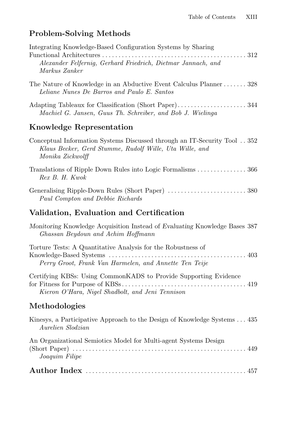## **Problem-Solving Methods**

| Integrating Knowledge-Based Configuration Systems by Sharing<br>Alexander Felfernig, Gerhard Friedrich, Dietmar Jannach, and<br>Markus Zanker           |
|---------------------------------------------------------------------------------------------------------------------------------------------------------|
| The Nature of Knowledge in an Abductive Event Calculus Planner 328<br>Leliane Nunes De Barros and Paulo E. Santos                                       |
| Machiel G. Jansen, Guus Th. Schreiber, and Bob J. Wielinga                                                                                              |
| Knowledge Representation                                                                                                                                |
| Conceptual Information Systems Discussed through an IT-Security Tool 352<br>Klaus Becker, Gerd Stumme, Rudolf Wille, Uta Wille, and<br>Monika Zickwolff |
| Translations of Ripple Down Rules into Logic Formalisms  366<br>Rex B. H. Kwok                                                                          |
| Paul Compton and Debbie Richards                                                                                                                        |
| Validation, Evaluation and Certification                                                                                                                |
| Monitoring Knowledge Acquisition Instead of Evaluating Knowledge Bases 387<br>Ghassan Beydoun and Achim Hoffmann                                        |
| Torture Tests: A Quantitative Analysis for the Robustness of<br>Perry Groot, Frank Van Harmelen, and Annette Ten Teije                                  |
| Certifying KBSs: Using CommonKADS to Provide Supporting Evidence<br>Kieron O'Hara, Nigel Shadbolt, and Jeni Tennison                                    |
| Methodologies                                                                                                                                           |
| Kinesys, a Participative Approach to the Design of Knowledge Systems 435<br>Aurelien Slodzian                                                           |
| An Organizational Semiotics Model for Multi-agent Systems Design<br>Joaquim Filipe                                                                      |
|                                                                                                                                                         |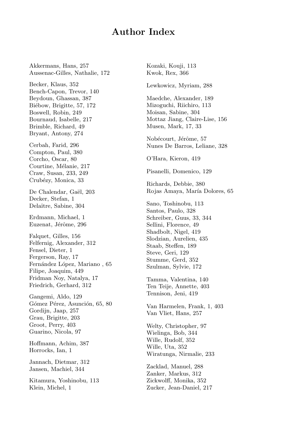## **Author Index**

Akkermans, Hans, 257 Aussenac-Gilles, Nathalie, 172

Becker, Klaus, 352 Bench-Capon, Trevor, 140 Beydoun, Ghassan, 387 Biébow, Brigitte, 57, 172 Boswell, Robin, 249 Bournaud, Isabelle, 217 Brimble, Richard, 49 Bryant, Antony, 274

Cerbah, Farid, 296 Compton, Paul, 380 Corcho, Oscar, 80 Courtine, Mélanie, 217 Craw, Susan, 233, 249 Crubézy, Monica, 33

De Chalendar, Gaël, 203 Decker, Stefan, 1 Delaître, Sabine, 304

Erdmann, Michael, 1 Euzenat, Jérôme, 296

Falquet, Gilles, 156 Felfernig, Alexander, 312 Fensel, Dieter, 1 Fergerson, Ray, 17 Fernández López, Mariano, 65 Filipe, Joaquim, 449 Fridman Noy, Natalya, 17 Friedrich, Gerhard, 312

Gangemi, Aldo, 129 Gómez Pérez, Asunción, 65, 80 Gordijn, Jaap, 257 Grau, Brigitte, 203 Groot, Perry, 403 Guarino, Nicola, 97

Hoffmann, Achim, 387 Horrocks, Ian, 1

Jannach, Dietmar, 312 Jansen, Machiel, 344

Kitamura, Yoshinobu, 113 Klein, Michel, 1

Kozaki, Kouji, 113 Kwok, Rex, 366 Lewkowicz, Myriam, 288 Maedche, Alexander, 189 Mizoguchi, Riichiro, 113 Moisan, Sabine, 304 Mottaz Jiang, Claire-Lise, 156 Musen, Mark, 17, 33 Nobécourt, Jérôme, 57 Nunes De Barros, Leliane, 328 O'Hara, Kieron, 419 Pisanelli, Domenico, 129 Richards, Debbie, 380 Rojas Amaya, María Dolores, 65 Sano, Toshinobu, 113 Santos, Paulo, 328 Schreiber, Guus, 33, 344 Sellini, Florence, 49 Shadbolt, Nigel, 419 Slodzian, Aurelien, 435 Staab, Steffen, 189 Steve, Geri, 129 Stumme, Gerd, 352 Szulman, Sylvie, 172 Tamma, Valentina, 140 Ten Teije, Annette, 403 Tennison, Jeni, 419 Van Harmelen, Frank, 1, 403 Van Vliet, Hans, 257 Welty, Christopher, 97 Wielinga, Bob, 344 Wille, Rudolf, 352 Wille, Uta, 352 Wiratunga, Nirmalie, 233 Zacklad, Manuel, 288 Zanker, Markus, 312 Zickwolff, Monika, 352 Zucker, Jean-Daniel, 217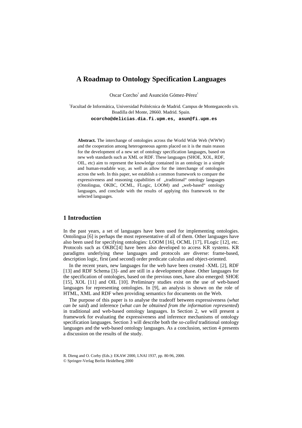## **A Roadmap to Ontology Specification Languages**

Oscar Corcho<sup>1</sup> and Asunción Gómez-Pérez<sup>1</sup>

1 Facultad de Informática, Universidad Politécnica de Madrid. Campus de Montegancedo s/n. Boadilla del Monte, 28660. Madrid. Spain.

**ocorcho@delicias.dia.fi.upm.es, asun@fi.upm.es**

**Abstract.** The interchange of ontologies across the World Wide Web (WWW) and the cooperation among heterogeneous agents placed on it is the main reason for the development of a new set of ontology specification languages, based on new web standards such as XML or RDF. These languages (SHOE, XOL, RDF, OIL, etc) aim to represent the knowledge contained in an ontology in a simple and human-readable way, as well as allow for the interchange of ontologies across the web. In this paper, we establish a common framework to compare the expressiveness and reasoning capabilities of "traditional" ontology languages (Ontolingua, OKBC, OCML, FLogic, LOOM) and "web-based" ontology languages, and conclude with the results of applying this framework to the selected languages.

## **1 Introduction**

In the past years, a set of languages have been used for implementing ontologies. Ontolingua [6] is perhaps the most representative of all of them. Other languages have also been used for specifying ontologies: LOOM [16], OCML [17], FLogic [12], etc. Protocols such as OKBC[4] have been also developed to access KR systems. KR paradigms underlying these languages and protocols are diverse: frame-based, description logic, first (and second) order predicate calculus and object-oriented.

In the recent years, new languages for the web have been created -XML [2], RDF [13] and RDF Schema [3]- and are still in a development phase. Other languages for the specification of ontologies, based on the previous ones, have also emerged: SHOE [15], XOL [11] and OIL [10]. Preliminary studies exist on the use of web-based languages for representing ontologies. In [9], an analysis is shown on the role of HTML, XML and RDF when providing semantics for documents on the Web.

The purpose of this paper is to analyse the tradeoff between expressiveness (*what can be said*) and inference (*what can be obtained from the information represented*) in traditional and web-based ontology languages. In Section 2, we will present a framework for evaluating the expressiveness and inference mechanisms of ontology specification languages. Section 3 will describe both the *so-called* traditional ontology languages and the web-based ontology languages. As a conclusion, section 4 presents a discussion on the results of the study.

R. Dieng and O. Corby (Eds.): EKAW 2000, LNAI 1937, pp. 80-96, 2000.

<sup>©</sup> Springer-Verlag Berlin Heidelberg 2000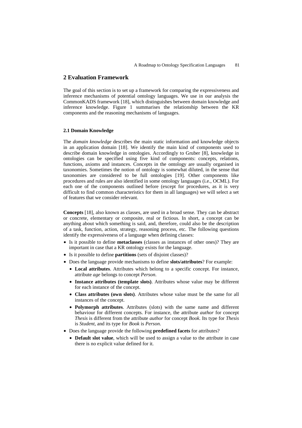## **2 Evaluation Framework**

The goal of this section is to set up a framework for comparing the expressiveness and inference mechanisms of potential ontology languages. We use in our analysis the CommonKADS framework [18], which distinguishes between domain knowledge and inference knowledge. Figure 1 summarises the relationship between the KR components and the reasoning mechanisms of languages.

### **2.1 Domain Knowledge**

The *domain knowledge* describes the main static information and knowledge objects in an application domain [18]. We identify the main kind of components used to describe domain knowledge in ontologies. Accordingly to Gruber [8], knowledge in ontologies can be specified using five kind of components: concepts, relations, functions, axioms and instances. Concepts in the ontology are usually organised in taxonomies. Sometimes the notion of ontology is somewhat diluted, in the sense that taxonomies are considered to be full ontologies [19]. Other components like procedures and rules are also identified in some ontology languages (i.e., OCML). For each one of the components outlined before (except for procedures, as it is very difficult to find common characteristics for them in all languages) we will select a set of features that we consider relevant.

**Concepts** [18], also known as classes, are used in a broad sense. They can be abstract or concrete, elementary or composite, real or fictious. In short, a concept can be anything about which something is said, and, therefore, could also be the description of a task, function, action, strategy, reasoning process, etc. The following questions identify the expressiveness of a language when defining classes:

- Is it possible to define **metaclasses** (classes as instances of other ones)? They are important in case that a KR ontology exists for the language.
- Is it possible to define **partitions** (sets of disjoint classes)?
- Does the language provide mechanisms to define **slots/attributes**? For example:
	- **Local attributes**. Attributes which belong to a specific concept. For instance, attribute *age* belongs to concept *Person*.
	- **Instance attributes (template slots)**. Attributes whose value may be different for each instance of the concept.
	- **Class attributes (own slots)**. Attributes whose value must be the same for all instances of the concept.
	- **Polymorph attributes**. Attributes (slots) with the same name and different behaviour for different concepts. For instance, the attribute *author* for concept *Thesis* is different from the attribute *author* for concept *Book*. Its type for *Thesis* is *Student*, and its type for *Book* is *Person*.
- Does the language provide the following **predefined facets** for attributes?
	- **Default slot value**, which will be used to assign a value to the attribute in case there is no explicit value defined for it.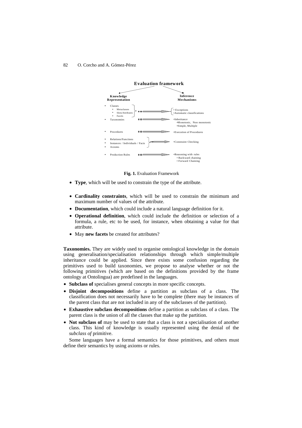

**Fig. 1.** Evaluation Framework

- **Type**, which will be used to constrain the type of the attribute.
- **Cardinality constraints**, which will be used to constrain the minimum and maximum number of values of the attribute.
- **Documentation**, which could include a natural language definition for it.
- **Operational definition**, which could include the definition or selection of a formula, a rule, etc to be used, for instance, when obtaining a value for that attribute.
- May **new facets** be created for attributes?

**Taxonomies.** They are widely used to organise ontological knowledge in the domain using generalisation/specialisation relationships through which simple/multiple inheritance could be applied. Since there exists some confusion regarding the primitives used to build taxonomies, we propose to analyse whether or not the following primitives (which are based on the definitions provided by the frame ontology at Ontolingua) are predefined in the languages.

- **Subclass of** specialises general concepts in more specific concepts.
- **Disjoint decompositions** define a partition as subclass of a class. The classification does not necessarily have to be complete (there may be instances of the parent class that are not included in any of the subclasses of the partition).
- **Exhaustive subclass decompositions** define a partition as subclass of a class. The parent class is the union of all the classes that make up the partition.
- Not subclass of may be used to state that a class is not a specialisation of another class. This kind of knowledge is usually represented using the denial of the *subclass of* primitive.

Some languages have a formal semantics for those primitives, and others must define their semantics by using axioms or rules.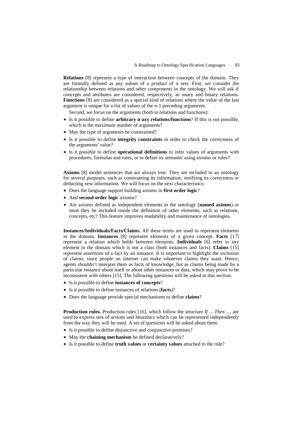**Relations** [8] represent a type of interaction between concepts of the domain. They are formally defined as any subset of a product of n sets. First, we consider the relationship between relations and other components in the ontology. We will ask if concepts and attributes are considered, respectively, as unary and binary relations. **Functions** [8] are considered as a special kind of relations where the value of the last argument is unique for a list of values of the n-1 preceding arguments.

Second, we focus on the arguments (both in relations and functions):

- Is it possible to define **arbitrary n-ary relations/functions**? If this is not possible, which is the maximum number of arguments?
- May the type of arguments be constrained?
- Is it possible to define **integrity constraints** in order to check the correctness of the arguments' value?
- Is it possible to define **operational definitions** to infer values of arguments with procedures, formulas and rules, or to define its semantic using axioms or rules?

**Axioms** [8] model sentences that are always true. They are included in an ontology for several purposes, such as constraining its information, verifying its correctness or deducting new information. We will focus on the next characteristics:

- Does the language support building axioms in **first order logic**?
- And **second order logic** axioms?
- Are axioms defined as independent elements in the ontology (**named axioms**) or must they be included inside the definition of other elements, such as relations, concepts, etc? This feature improves readability and maintenance of ontologies.

**Instances/Individuals/Facts/Claims.** All these terms are used to represent elements in the domain. **Instances** [8] represent elements of a given concept. **Facts** [17] represent a relation which holds between elements. **Individuals** [6] refer to any element in the domain which is not a class (both instances and facts). **Claims** [15] represent assertions of a fact by an instance. It is important to highlight the inclusion of claims, since people on internet can make whatever claims they want. Hence, agents shouldn't interpret them as facts of knowledge, but as claims being made by a particular instance about itself or about other instances or data, which may prove to be inconsistent with others [15]. The following questions will be asked in this section:

- Is it possible to define **instances of concepts**?
- Is it possible to define instances of relations (**facts**)?
- Does the language provide special mechanisms to define **claims**?

**Production rules.** Production rules [16], which follow the structure *If ... Then ...*, are used to express sets of actions and heuristics which can be represented independently from the way they will be used. A set of questions will be asked about them:

- Is it possible to define disjunctive and conjunctive premises?
- May the **chaining mechanism** be defined declaratively?
- Is it possible to define **truth values** or **certainty values** attached to the rule?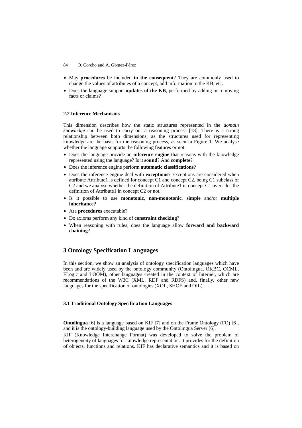- May **procedures** be included **in the consequent**? They are commonly used to change the values of attributes of a concept, add information to the KB, etc.
- Does the language support **updates of the KB**, performed by adding or removing facts or claims?

#### **2.2 Inference Mechanisms**

This dimension describes how the static structures represented in the *domain knowledge* can be used to carry out a reasoning process [18]. There is a strong relationship between both dimensions, as the structures used for representing knowledge are the basis for the reasoning process, as seen in Figure 1. We analyse whether the language supports the following features or not:

- Does the language provide an **inference engine** that reasons with the knowledge represented using the language? Is it **sound**? And **complete**?
- Does the inference engine perform **automatic classifications**?
- Does the inference engine deal with **exceptions**? Exceptions are considered when attribute Attribute1 is defined for concept  $C1$  and concept  $C2$ , being  $C1$  subclass of C2 and we analyse whether the definition of Attribute1 in concept C1 overrides the definition of Attribute1 in concept C2 or not.
- Is it possible to use **monotonic**, **non-monotonic**, **simple** and/or **multiple inheritance?**
- Are **procedures** executable?
- Do axioms perform any kind of **constraint checking**?
- When reasoning with rules, does the language allow **forward and backward chaining**?

## **3 Ontology Specification Languages**

In this section, we show an analysis of ontology specification languages which have been and are widely used by the ontology community (Ontolingua, OKBC, OCML, FLogic and LOOM), other languages created in the context of Internet, which are recommendations of the W3C (XML, RDF and RDFS) and, finally, other new languages for the specification of ontologies (XOL, SHOE and OIL).

#### **3.1 Traditional Ontology Specific ation Languages**

**Ontolingua** [6] is a language based on KIF [7] and on the Frame Ontology (FO) [6], and it is the ontology-building language used by the Ontolingua Server [6].

KIF (Knowledge Interchange Format) was developed to solve the problem of heterogeneity of languages for knowledge representation. It provides for the definition of objects, functions and relations. KIF has declarative semantics and it is based on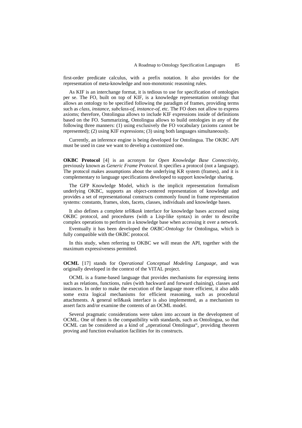first-order predicate calculus, with a prefix notation. It also provides for the representation of meta-knowledge and non-monotonic reasoning rules.

As KIF is an interchange format, it is tedious to use for specification of ontologies per se. The FO, built on top of KIF, is a knowledge representation ontology that allows an ontology to be specified following the paradigm of frames, providing terms such as *class*, *instance*, *subclass-of*, *instance-of*, etc. The FO does not allow to express axioms; therefore, Ontolingua allows to include KIF expressions inside of definitions based on the FO. Summarizing, Ontolingua allows to build ontologies in any of the following three manners: (1) using exclusively the FO vocabulary (axioms cannot be represented); (2) using KIF expressions; (3) using both languages simultaneously.

Currently, an inference engine is being developed for Ontolingua. The OKBC API must be used in case we want to develop a customized one.

**OKBC Protocol** [4] is an acronym for *Open Knowledge Base Connectivity*, previously known as *Generic Frame Protocol*. It specifies a protocol (not a language). The protocol makes assumptions about the underlying KR system (frames), and it is complementary to language specifications developed to support knowledge sharing.

The GFP Knowledge Model, which is the implicit representation formalism underlying OKBC, supports an object-centered representation of knowledge and provides a set of representational constructs commonly found in frame representation systems: constants, frames, slots, facets, classes, individuals and knowledge bases.

It also defines a complete *tell&ask* interface for knowledge bases accessed using OKBC protocol, and procedures (with a Lisp-like syntax) in order to describe complex operations to perform in a knowledge base when accessing it over a network.

Eventually it has been developed the *OKBC-Ontology* for Ontolingua, which is fully compatible with the OKBC protocol.

In this study, when referring to OKBC we will mean the API, together with the maximum expressiveness permitted.

**OCML** [17] stands for *Operational Conceptual Modeling Language*, and was originally developed in the context of the VITAL project.

OCML is a frame-based language that provides mechanisms for expressing items such as relations, functions, rules (with backward and forward chaining), classes and instances. In order to make the execution of the language more efficient, it also adds some extra logical mechanisms for efficient reasoning, such as procedural attachments. A general tell&ask interface is also implemented, as a mechanism to assert facts and/or examine the contents of an OCML model.

Several pragmatic considerations were taken into account in the development of OCML. One of them is the compatibility with standards, such as Ontolingua, so that OCML can be considered as a kind of "operational Ontolingua", providing theorem proving and function evaluation facilities for its constructs.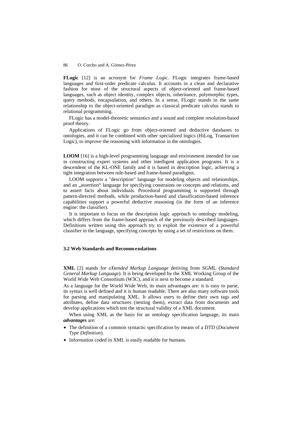**FLogic** [12] is an acronym for *Frame Logic*. FLogic integrates frame-based languages and first-order predicate calculus. It accounts in a clean and declarative fashion for most of the structural aspects of object-oriented and frame-based languages, such as object identity, complex objects, inheritance, polymorphic types, query methods, encapsulation, and others. In a sense, FLogic stands in the same relationship to the object-oriented paradigm as classical predicate calculus stands to relational programming.

FLogic has a model-theoretic semantics and a sound and complete resolution-based proof theory.

Applications of FLogic go from object-oriented and deductive databases to ontologies, and it can be combined with other specialized logics (HiLog, Transaction Logic), to improve the reasoning with information in the ontologies.

**LOOM** [16] is a high-level programming language and environment intended for use in constructing expert systems and other intelligent application programs. It is a descendent of the KL-ONE family and it is based in description logic, achieving a tight integration between rule-based and frame-based paradigms.

LOOM supports a "description" language for modeling objects and relationships, and an "assertion" language for specifying constraints on concepts and relations, and to assert facts about individuals. Procedural programming is supported through pattern-directed methods, while production-based and classification-based inference capabilities support a powerful deductive reasoning (in the form of an inference engine: the classifier).

It is important to focus on the description logic approach to ontology modeling, which differs from the frame-based approach of the previously described languages. Definitions written using this approach try to exploit the existence of a powerful classifier in the language, specifying concepts by using a set of restrictions on them.

#### **3.2 Web Standards and Recomm endations**

**XML** [2] stands for *eXtended Markup Language* deriving from SGML (*Standard General Markup Language*). It is being developed by the XML Working Group of the World Wide Web Consortium (W3C), and it is next to become a standard.

As a language for the World Wide Web, its main advantages are: it is easy to parse, its syntax is well defined and it is human readable. There are also many software tools for parsing and manipulating XML. It allows users to define their own tags and attributes, define data structures (nesting them), extract data from documents and develop applications which test the structural validity of a XML document.

When using XML as the basis for an ontology specification language, its main *advantages* are:

- The definition of a common syntactic specification by means of a DTD (*Document Type Definition*).
- Information coded in XML is easily readable for humans.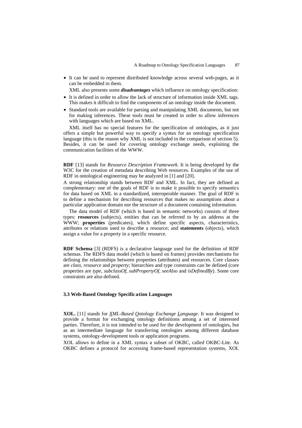It can be used to represent distributed knowledge across several web-pages, as it can be embedded in them.

XML also presents some *disadvantages* which influence on ontology specification:

- It is defined in order to allow the lack of structure of information inside XML tags. This makes it difficult to find the components of an ontology inside the document.
- Standard tools are available for parsing and manipulating XML documents, but not for making inferences. These tools must be created in order to allow inferences with languages which are based on XML.

XML itself has no special features for the specification of ontologies, as it just offers a simple but powerful way to specify a syntax for an ontology specification language (this is the reason why XML is not included in the comparison of section 5). Besides, it can be used for covering ontology exchange needs, exploiting the communication facilities of the WWW.

**RDF** [13] stands for *Resource Description Framework*. It is being developed by the W3C for the creation of metadata describing Web resources. Examples of the use of RDF in ontological engineering may be analyzed in [1] and [20].

A strong relationship stands between RDF and XML. In fact, they are defined as complementary: one of the goals of RDF is to make it possible to specify semantics for data based on XML in a standardized, interoperable manner. The goal of RDF is to define a mechanism for describing resources that makes no assumptions about a particular application domain nor the structure of a document containing information.

The data model of RDF (which is based in semantic networks) consists of three types: **resources** (subjects), entities that can be referred to by an address at the WWW; **properties** (predicates), which define specific aspects, characteristics, attributes or relations used to describe a resource; and **statements** (objects), which assign a value for a property in a specific resource.

**RDF Schema** [3] (RDFS) is a declarative language used for the definition of RDF schemas. The RDFS data model (which is based on frames) provides mechanisms for defining the relationships between properties (attributes) and resources. Core classes are *class*, *resource* and *property*; hierarchies and type constraints can be defined (core properties are *type*, *subclassOf*, *subPropertyOf*, *seeAlso* and *isDefinedBy*). Some core constraints are also defined.

#### **3.3 Web-Based Ontology Specific ation Languages**

**XOL.** [11] stands for *XML-Based Ontology Exchange Language*. It was designed to provide a format for exchanging ontology definitions among a set of interested parties. Therefore, it is not intended to be used for the development of ontologies, but as an intermediate language for transferring ontologies among different database systems, ontology-development tools or application programs.

XOL allows to define in a XML syntax a subset of OKBC, called OKBC-Lite. As OKBC defines a protocol for accessing frame-based representation systems, XOL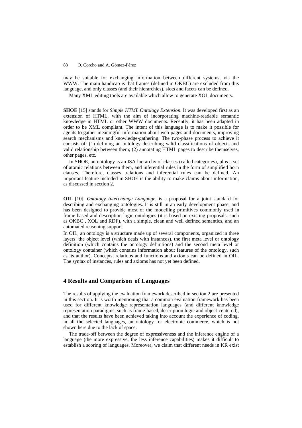may be suitable for exchanging information between different systems, via the WWW. The main handicap is that frames (defined in OKBC) are excluded from this language, and only classes (and their hierarchies), slots and facets can be defined.

Many XML editing tools are available which allow to generate XOL documents.

**SHOE** [15] stands for *Simple HTML Ontology Extension*. It was developed first as an extension of HTML, with the aim of incorporating machine-readable semantic knowledge in HTML or other WWW documents. Recently, it has been adapted in order to be XML compliant. The intent of this language is to make it possible for agents to gather meaningful information about web pages and documents, improving search mechanisms and knowledge-gathering. The two-phase process to achieve it consists of: (1) defining an ontology describing valid classifications of objects and valid relationship between them; (2) annotating HTML pages to describe themselves, other pages, etc.

In SHOE, an ontology is an ISA hierarchy of classes (called categories), plus a set of atomic relations between them, and inferential rules in the form of simplified horn clauses. Therefore, classes, relations and inferential rules can be defined. An important feature included in SHOE is the ability to make claims about information, as discussed in section 2.

**OIL** [10], *Ontology Interchange Language*, is a proposal for a joint standard for describing and exchanging ontologies. It is still in an early development phase, and has been designed to provide most of the modelling primitives commonly used in frame-based and description logic ontologies (it is based on existing proposals, such as OKBC , XOL and RDF), with a simple, clean and well defined semantics, and an automated reasoning support.

In OIL, an ontology is a structure made up of several components, organized in three layers: the object level (which deals with instances), the first meta level or ontology definition (which contains the ontology definitions) and the second meta level or ontology container (which contains information about features of the ontology, such as its author). Concepts, relations and functions and axioms can be defined in OIL. The syntax of instances, rules and axioms has not yet been defined.

## **4 Results and Comparison of Languages**

The results of applying the evaluation framework described in section 2 are presented in this section. It is worth mentioning that a common evaluation framework has been used for different knowledge representation languages (and different knowledge representation paradigms, such as frame-based, description logic and object-centered), and that the results have been achieved taking into account the experience of coding, in all the selected languages, an ontology for electronic commerce, which is not shown here due to the lack of space.

The trade-off between the degree of expressiveness and the inference engine of a language (the more expressive, the less inference capabilities) makes it difficult to establish a scoring of languages. Moreover, we claim that different needs in KR exist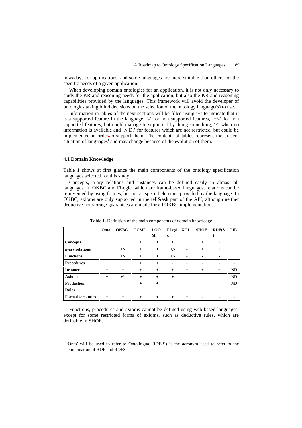nowadays for applications, and some languages are more suitable than others for the specific needs of a given application.

When developing domain ontologies for an application, it is not only necessary to study the KR and reasoning needs for the application, but also the KR and reasoning capabilities provided by the languages. This framework will avoid the developer of ontologies taking blind decisions on the selection of the ontology language(s) to use.

Information in tables of the next sections will be filled using '+' to indicate that it is a supported feature in the language,  $\cdot$ - $\cdot$  for non supported features,  $\cdot$ +/- $\cdot$  for non supported features, but could manage to support it by doing something, '?' when no information is available and 'N.D.' for features which are not restricted, but could be implemented in order to support them. The contents of tables represent the present situation of languages<sup>1</sup> and may change because of the evolution of them.

#### **4.1 Domain Knowledge**

l

Table 1 shows at first glance the main components of the ontology specification languages selected for this study.

Concepts, n-ary relations and instances can be defined easily in almost all languages. In OKBC and FLogic, which are frame-based languages, relations can be represented by using frames, but not as special elements provided by the language. In OKBC, axioms are only supported in the tell&ask part of the API, although neither deductive nor storage guarantees are made for all OKBC implementations.

|                         | Onto           | <b>OKBC</b> | <b>OCML</b> | L <sub>0</sub> | FLogi          | <b>XOL</b>     | <b>SHOE</b>              | RDF(S) | OIL       |
|-------------------------|----------------|-------------|-------------|----------------|----------------|----------------|--------------------------|--------|-----------|
|                         |                |             |             | M              | c              |                |                          |        |           |
| Concepts                | $+$            | $+$         | $^{+}$      | $^{+}$         | $+$            | $+$            | $^{+}$                   | $^{+}$ | $+$       |
| n-ary relations         | $+$            | $+/-$       | $+$         | $+$            | $+/-$          | $\blacksquare$ | $+$                      | $+$    | $+$       |
| <b>Functions</b>        | $+$            | $+/-$       | $+$         | $+$            | $+/-$          | $\blacksquare$ | $\blacksquare$           |        | $+$       |
| <b>Procedures</b>       | $+$            | $+$         | $+$         | $+$            | $\blacksquare$ | -              | $\overline{\phantom{0}}$ |        |           |
| <b>Instances</b>        | $+$            | $+$         | $+$         | $+$            | $+$            | $+$            | $^{+}$                   | $+$    | <b>ND</b> |
| <b>Axioms</b>           | $^{+}$         | $+/-$       | $^{+}$      | $+$            | $^{+}$         |                |                          |        | <b>ND</b> |
| <b>Production</b>       | $\blacksquare$ | -           | $+$         | $+$            |                |                |                          |        | <b>ND</b> |
| <b>Rules</b>            |                |             |             |                |                |                |                          |        |           |
| <b>Formal semantics</b> | $^{+}$         | $+$         | $^{+}$      | $+$            | $^{+}$         | $+$            |                          |        |           |

**Table 1.** Definition of the main components of domain knowledge

Functions, procedures and axioms cannot be defined using web-based languages, except for some restricted forms of axioms, such as deductive rules, which are definable in SHOE.

<sup>&</sup>lt;sup>1</sup> 'Onto' will be used to refer to Ontolingua. RDF(S) is the acronym used to refer to the combination of RDF and RDFS.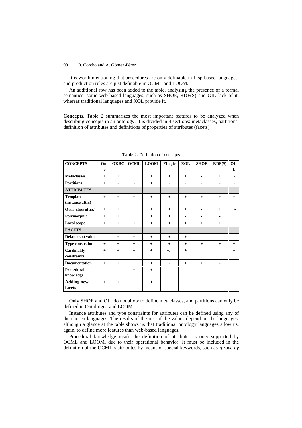It is worth mentioning that procedures are only definable in Lisp-based languages, and production rules are just definable in OCML and LOOM.

An additional row has been added to the table, analysing the presence of a formal semantics: some web-based languages, such as SHOE, RDF(S) and OIL lack of it, whereas traditional languages and XOL provide it.

**Concepts.** Table 2 summarizes the most important features to be analyzed when describing concepts in an ontology. It is divided in 4 sections: metaclasses, partitions, definition of attributes and definitions of properties of attributes (facets).

| <b>CONCEPTS</b>                     | Ont<br>$\Omega$ | ОКВС                     | <b>OCML</b>    | <b>LOOM</b> | FLogic                   | <b>XOL</b>     | <b>SHOE</b>    | RDF(S)         | <b>OI</b><br>L |
|-------------------------------------|-----------------|--------------------------|----------------|-------------|--------------------------|----------------|----------------|----------------|----------------|
| <b>Metaclasses</b>                  | $+$             | $+$                      | $+$            | $+$         | $+$                      | $+$            | $\blacksquare$ | $+$            | $\blacksquare$ |
| <b>Partitions</b>                   | $^{+}$          | $\overline{\phantom{0}}$ | $\blacksquare$ | $+$         | $\overline{\phantom{0}}$ | $\blacksquare$ | $\blacksquare$ | $\blacksquare$ | ۰              |
| <b>ATTRIBUTES</b>                   |                 |                          |                |             |                          |                |                |                |                |
| <b>Template</b><br>(instance attrs) | $+$             | $+$                      | $+$            | $+$         | $+$                      | $+$            | $+$            | $+$            | $+$            |
| Own (class attrs.)                  | $+$             | $+$                      | $+$            | $+$         | $+$                      | $+$            | $\blacksquare$ | $+$            | $+/-$          |
| Polymorphic                         | $+$             | $+$                      | $+$            | $+$         | $+$                      | -              | $\blacksquare$ | $\blacksquare$ | $+$            |
| <b>Local scope</b>                  | $+$             | $+$                      | $+$            | $+$         | $+$                      | $+$            | $+$            | $+$            | $+$            |
| <b>FACETS</b>                       |                 |                          |                |             |                          |                |                |                |                |
| Default slot value                  | $\blacksquare$  | $+$                      | $+$            | $+$         | $+$                      | $+$            | $\blacksquare$ | $\blacksquare$ | -              |
| <b>Type constraint</b>              | $+$             | $+$                      | $+$            | $+$         | $+$                      | $+$            | $^{+}$         | $+$            | $+$            |
| <b>Cardinality</b><br>constraints   | $+$             | $+$                      | $+$            | $+$         | $+/-$                    | $+$            |                |                | $+$            |
| <b>Documentation</b>                | $+$             | $+$                      | $+$            | $+$         | $\blacksquare$           | $+$            | $+$            | $\blacksquare$ | $+$            |
| <b>Procedural</b><br>knowledge      |                 |                          | $+$            | $+$         |                          |                |                |                |                |
| <b>Adding new</b><br>facets         | $+$             | $+$                      | ۰              | $+$         | ۰                        | -              | -              |                | -              |

**Table 2.** Definition of concepts

Only SHOE and OIL do not allow to define metaclasses, and partitions can only be defined in Ontolingua and LOOM.

Instance attributes and type constraints for attributes can be defined using any of the chosen languages. The results of the rest of the values depend on the languages, although a glance at the table shows us that traditional ontology languages allow us, again, to define more features than web-based languages.

Procedural knowledge inside the definition of attributes is only supported by OCML and LOOM, due to their operational behavior. It must be included in the definition of the OCML´s attributes by means of special keywords, such as *:prove-by*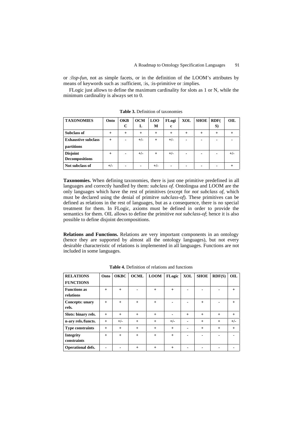or *:lisp-fun*, not as simple facets, or in the definition of the LOOM's attributes by means of keywords such as :sufficient, :is, :is-primitive or :implies.

FLogic just allows to define the maximum cardinality for slots as 1 or N, while the minimum cardinality is always set to 0.

| <b>TAXONOMIES</b>          | Onto      | <b>OKB</b>     | <b>OCM</b> | L <sub>0</sub> | FLogi | <b>XOL</b> | <b>SHOE</b>              | RDF(   | OIL      |
|----------------------------|-----------|----------------|------------|----------------|-------|------------|--------------------------|--------|----------|
|                            |           | C              | L          | M              | c     |            |                          | S)     |          |
| <b>Subclass of</b>         | $^{+}$    | $+$            | $+$        | $+$            | $+$   | $+$        | $^{+}$                   | $^{+}$ |          |
| <b>Exhaustive subclass</b> | $\ddot{}$ | $\blacksquare$ | $+/-$      | $^{+}$         | $+/-$ |            | $\overline{\phantom{0}}$ |        |          |
| partitions                 |           |                |            |                |       |            |                          |        |          |
| <b>Disjoint</b>            | $^{+}$    | $\blacksquare$ | $+/-$      | $+$            | $+/-$ |            | $\overline{\phantom{0}}$ |        | $^{+/-}$ |
| <b>Decompositions</b>      |           |                |            |                |       |            |                          |        |          |
| Not subclass of            | $+/-$     |                |            | $+/-$          |       |            |                          |        |          |

**Table 3.** Definition of taxonomies

**Taxonomies.** When defining taxonomies, there is just one primitive predefined in all languages and correctly handled by them: *subclass of*. Ontolingua and LOOM are the only languages which have the rest of primitives (except for *not subclass of*, which must be declared using the denial of primitve *subclass-of*). These primitives can be defined as relations in the rest of languages, but as a consequence, there is no special treatment for them. In FLogic, axioms must be defined in order to provide the semantics for them. OIL allows to define the primitive *not subclass-of*; hence it is also possible to define disjoint decompositions.

**Relations and Functions.** Relations are very important components in an ontology (hence they are supported by almost all the ontology languages), but not every desirable characteristic of relations is implemented in all languages. Functions are not included in some languages.

| <b>RELATIONS</b>         | Onto   | <b>OKBC</b> | <b>OCML</b>              | <b>LOOM</b> | FLogic                   | <b>XOL</b>               | <b>SHOE</b> | RDF(S) | OIL    |
|--------------------------|--------|-------------|--------------------------|-------------|--------------------------|--------------------------|-------------|--------|--------|
| <b>FUNCTIONS</b>         |        |             |                          |             |                          |                          |             |        |        |
| <b>Functions as</b>      | $^{+}$ | $+$         | $\overline{\phantom{0}}$ | $+$         | $+$                      |                          |             |        | $+$    |
| relations                |        |             |                          |             |                          |                          |             |        |        |
| <b>Concepts: unary</b>   | $^{+}$ | $+$         | $^{+}$                   | $+$         | $\blacksquare$           | $\blacksquare$           | $+$         |        | $+$    |
| rels.                    |        |             |                          |             |                          |                          |             |        |        |
| Slots: binary rels.      | $^{+}$ | $+$         | $+$                      | $+$         | $\overline{\phantom{0}}$ | $+$                      | $^{+}$      | $^{+}$ | $^{+}$ |
| n-ary rels./functs.      | $^{+}$ | $+/-$       | $+$                      | $+$         | $+/-$                    | $\overline{\phantom{0}}$ | $^{+}$      | $^{+}$ | $+/-$  |
| <b>Type constraints</b>  | $^{+}$ | $+$         | $+$                      | $+$         | $^{+}$                   |                          | $+$         | $^{+}$ | $+$    |
| <b>Integrity</b>         | $^{+}$ | $+$         | $+$                      | $+$         | $+$                      |                          |             |        |        |
| constraints              |        |             |                          |             |                          |                          |             |        |        |
| <b>Operational defs.</b> |        |             | $^{+}$                   | $^{+}$      | $^{+}$                   |                          |             |        |        |

**Table 4.** Definition of relations and functions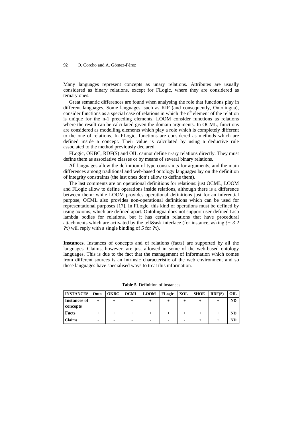Many languages represent concepts as unary relations. Attributes are usually considered as binary relations, except for FLogic, where they are considered as ternary ones.

Great semantic differences are found when analysing the role that functions play in different languages. Some languages, such as KIF (and consequently, Ontolingua), consider functions as a special case of relations in which the n<sup>th</sup> element of the relation is unique for the n-1 preceding elements. LOOM consider functions as relations where the result can be calculated given the domain arguments. In OCML, functions are considered as modelling elements which play a role which is completely different to the one of relations. In FLogic, functions are considered as methods which are defined inside a concept. Their value is calculated by using a deductive rule associated to the method previously declared.

FLogic, OKBC, RDF(S) and OIL cannot define n-ary relations directly. They must define them as associative classes or by means of several binary relations.

All languages allow the definition of type constraints for arguments, and the main differences among traditional and web-based ontology languages lay on the definition of integrity constraints (the last ones don't allow to define them).

The last comments are on operational definitions for relations: just OCML, LOOM and FLogic allow to define operations inside relations, although there is a difference between them: while LOOM provides operational definitions just for an inferential purpose, OCML also provides non-operational definitions which can be used for representational purposes [17]. In FLogic, this kind of operations must be defined by using axioms, which are defined apart. Ontolingua does not support user-defined Lisp lambda bodies for relations, but it has certain relations that have procedural attachments which are activated by the tell&ask interface (for instance, asking *(+ 3 2 ?x)* will reply with a single binding of *5* for *?x*).

**Instances.** Instances of concepts and of relations (facts) are supported by all the languages. Claims, however, are just allowed in some of the web-based ontology languages. This is due to the fact that the management of information which comes from different sources is an intrinsic characteristic of the web environment and so these languages have specialised ways to treat this information.

| <b>INSTANCES</b>         | Onto | OKBC   OCML   LOOM |                          | FLogic         | XOL                      | <b>SHOE</b> | RDF(S) | OIL |
|--------------------------|------|--------------------|--------------------------|----------------|--------------------------|-------------|--------|-----|
| Instances of<br>concepts |      |                    |                          |                |                          |             |        | ND  |
| Facts                    |      |                    |                          |                |                          |             |        | ND  |
| <b>Claims</b>            |      | -                  | $\overline{\phantom{a}}$ | $\blacksquare$ | $\overline{\phantom{0}}$ |             |        | ND  |

**Table 5.** Definition of instances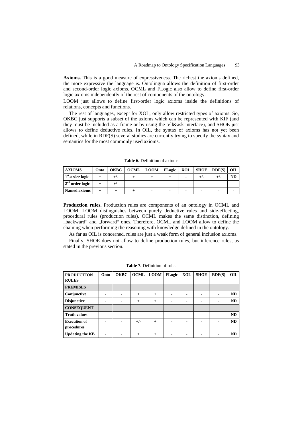**Axioms.** This is a good measure of expressiveness. The richest the axioms defined, the more expressive the language is. Ontolingua allows the definition of first-order and second-order logic axioms. OCML and FLogic also allow to define first-order logic axioms independently of the rest of components of the ontology.

LOOM just allows to define first-order logic axioms inside the definitions of relations, concepts and functions.

The rest of languages, except for XOL, only allow restricted types of axioms. So, OKBC just supports a subset of the axioms which can be represented with KIF (and they must be included as a frame or by using the tell&ask interface), and SHOE just allows to define deductive rules. In OIL, the syntax of axioms has not yet been defined, while in RDF(S) several studies are currently trying to specify the syntax and semantics for the most commonly used axioms.

| <b>AXIOMS</b>       | Onto | <b>OKBC</b> | <b>OCML</b> | LOOM | FLogic | XOL | SHOE | RDF(S) | OIL.      |
|---------------------|------|-------------|-------------|------|--------|-----|------|--------|-----------|
| $1st$ -order logic  |      | +/-         |             |      |        |     |      |        | <b>ND</b> |
| $2nd$ order logic   |      | +/-         |             |      |        |     |      |        |           |
| <b>Named axioms</b> |      |             |             |      |        |     |      |        |           |

**Table 6.** Definition of axioms

**Production rules.** Production rules are components of an ontology in OCML and LOOM. LOOM distinguishes between purely deductive rules and side-effecting, procedural rules (production rules). OCML makes the same distinction, defining "backward" and "forward" ones. Therefore, OCML and LOOM allow to define the chaining when performing the reasoning with knowledge defined in the ontology.

As far as OIL is concerned, rules are just a weak form of general inclusion axioms.

Finally, SHOE does not allow to define production rules, but inference rules, as stated in the previous section.

| <b>PRODUCTION</b>      | Onto | <b>OKBC</b>              | <b>OCML</b> | <b>LOOM</b> | FLogic | <b>XOL</b> | <b>SHOE</b>    | RDF(S)                   | OIL |
|------------------------|------|--------------------------|-------------|-------------|--------|------------|----------------|--------------------------|-----|
| <b>RULES</b>           |      |                          |             |             |        |            |                |                          |     |
| <b>PREMISES</b>        |      |                          |             |             |        |            |                |                          |     |
| Conjunctive            |      | $\blacksquare$           | $+$         | $+$         |        | -          | $\blacksquare$ | $\overline{\phantom{0}}$ | ND  |
| <b>Disjunctive</b>     |      | $\overline{\phantom{0}}$ | $+$         | $+$         |        | -          | $\blacksquare$ |                          | ND  |
| <b>CONSEQUENT</b>      |      |                          |             |             |        |            |                |                          |     |
| <b>Truth values</b>    |      | $\blacksquare$           |             | -           |        | -          | $\blacksquare$ |                          | ND  |
| <b>Execution of</b>    |      | $\blacksquare$           | $+/-$       | $+$         |        |            | $\blacksquare$ |                          | ND  |
| procedures             |      |                          |             |             |        |            |                |                          |     |
| <b>Updating the KB</b> |      |                          | $\ddot{}$   | $+$         |        |            |                |                          | ND  |

**Table 7.** Definition of rules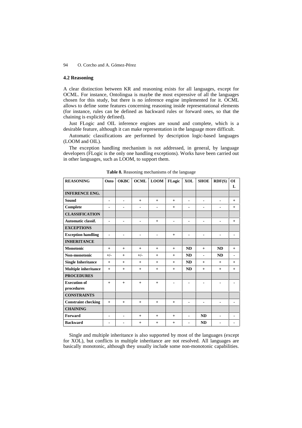#### **4.2 Reasoning**

A clear distinction between KR and reasoning exists for all languages, except for OCML. For instance, Ontolingua is maybe the most expressive of all the languages chosen for this study, but there is no inference engine implemented for it. OCML allows to define some features concerning reasoning inside representational elements (for instance, rules can be defined as backward rules or forward ones, so that the chaining is explicitly defined).

Just FLogic and OIL inference engines are sound and complete, which is a desirable feature, although it can make representation in the language more difficult.

Automatic classifications are performed by description logic-based languages (LOOM and OIL).

The exception handling mechanism is not addressed, in general, by language developers (FLogic is the only one handling exceptions). Works have been carried out in other languages, such as LOOM, to support them.

| <b>REASONING</b>                  | Onto                     | <b>OKBC</b>                  | <b>OCML</b>    | <b>LOOM</b>              | FLogic         | <b>XOL</b>                   | <b>SHOE</b>              | RDF(S)                   | <b>OI</b>                    |
|-----------------------------------|--------------------------|------------------------------|----------------|--------------------------|----------------|------------------------------|--------------------------|--------------------------|------------------------------|
|                                   |                          |                              |                |                          |                |                              |                          |                          | L                            |
| <b>INFERENCE ENG.</b>             |                          |                              |                |                          |                |                              |                          |                          |                              |
| Sound                             | $\blacksquare$           | $\blacksquare$               | $+$            | $+$                      | $+$            | $\blacksquare$               | $\overline{\phantom{0}}$ | $\overline{\phantom{0}}$ | $+$                          |
| Complete                          | ٠                        |                              | ۰              | $\overline{\phantom{0}}$ | $+$            | $\blacksquare$               | $\blacksquare$           | $\blacksquare$           | $+$                          |
| <b>CLASSIFICATION</b>             |                          |                              |                |                          |                |                              |                          |                          |                              |
| Automatic classif.                | $\blacksquare$           |                              | $\blacksquare$ | $+$                      | $\blacksquare$ | $\blacksquare$               | $\blacksquare$           | $\blacksquare$           | $+$                          |
| <b>EXCEPTIONS</b>                 |                          |                              |                |                          |                |                              |                          |                          |                              |
| <b>Exception handling</b>         | $\overline{\phantom{0}}$ |                              | $\blacksquare$ |                          | $+$            | $\blacksquare$               | $\overline{\phantom{0}}$ | $\blacksquare$           |                              |
| <b>INHERITANCE</b>                |                          |                              |                |                          |                |                              |                          |                          |                              |
| Monotonic                         | $+$                      | $+$                          | $+$            | $+$                      | $+$            | <b>ND</b>                    | $+$                      | <b>ND</b>                | $+$                          |
| Non-monotonic                     | $+/-$                    | $+$                          | $+/-$          | $+$                      | $+$            | <b>ND</b>                    | $\overline{\phantom{0}}$ | <b>ND</b>                | $\qquad \qquad \blacksquare$ |
| <b>Single Inheritance</b>         | $+$                      | $+$                          | $+$            | $+$                      | $+$            | ND                           | $+$                      | $+$                      | $+$                          |
| <b>Multiple inheritance</b>       | $+$                      | $+$                          | $+$            | $+$                      | $+$            | <b>ND</b>                    | $+$                      | $+$                      | $+$                          |
| <b>PROCEDURES</b>                 |                          |                              |                |                          |                |                              |                          |                          |                              |
| <b>Execution of</b><br>procedures | $+$                      | $+$                          | $+$            | $+$                      |                |                              |                          |                          |                              |
| <b>CONSTRAINTS</b>                |                          |                              |                |                          |                |                              |                          |                          |                              |
| <b>Constraint checking</b>        | $+$                      | $+$                          | $+$            | $+$                      | $+$            | $\blacksquare$               | $\blacksquare$           | $\blacksquare$           | $\blacksquare$               |
| <b>CHAINING</b>                   |                          |                              |                |                          |                |                              |                          |                          |                              |
| Forward                           | $\overline{a}$           | $\blacksquare$               | $+$            | $+$                      | $+$            | $\qquad \qquad \blacksquare$ | ND                       | $\blacksquare$           | $\blacksquare$               |
| <b>Backward</b>                   | $\blacksquare$           | $\qquad \qquad \blacksquare$ | $+$            | $+$                      | $+$            | $\qquad \qquad \blacksquare$ | <b>ND</b>                | $\blacksquare$           |                              |

**Table 8.** Reasoning mechanisms of the language

Single and multiple inheritance is also supported by most of the languages (except for XOL), but conflicts in multiple inheritance are not resolved. All languages are basically monotonic, although they usually include some non-monotonic capabilities.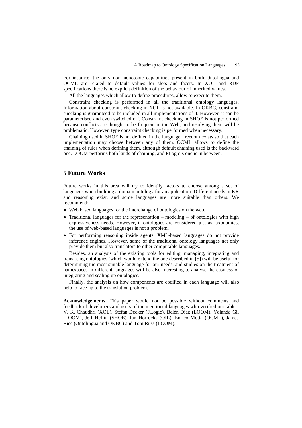For instance, the only non-monotonic capabilities present in both Ontolingua and OCML are related to default values for slots and facets. In XOL and RDF specifications there is no explicit definition of the behaviour of inherited values.

All the languages which allow to define procedures, allow to execute them.

Constraint checking is performed in all the traditional ontology languages. Information about constraint checking in XOL is not available. In OKBC, constraint checking is guaranteed to be included in all implementations of it. However, it can be parameterised and even switched off. Constraint checking in SHOE is not performed because conflicts are thought to be frequent in the Web, and resolving them will be problematic. However, type constraint checking is performed when necessary.

Chaining used in SHOE is not defined in the language: freedom exists so that each implementation may choose between any of them. OCML allows to define the chaining of rules when defining them, although default chaining used is the backward one. LOOM performs both kinds of chaining, and FLogic's one is in between.

#### **5 Future Works**

Future works in this area will try to identify factors to choose among a set of languages when building a domain ontology for an application. Different needs in KR and reasoning exist, and some languages are more suitable than others. We recommend:

- Web based languages for the interchange of ontologies on the web.
- Traditional languages for the representation modeling of ontologies with high expressiveness needs. However, if ontologies are considered just as taxonomies, the use of web-based languages is not a problem.
- For performing reasoning inside agents, XML-based languages do not provide inference engines. However, some of the traditional ontology languages not only provide them but also translators to other computable languages.

Besides, an analysis of the existing tools for editing, managing, integrating and translating ontologies (which would extend the one described in [5]) will be useful for determining the most suitable language for our needs, and studies on the treatment of namespaces in different languages will be also interesting to analyse the easiness of integrating and scaling up ontologies.

Finally, the analysis on how components are codified in each language will also help to face up to the translation problem.

**Acknowledgements.** This paper would not be possible without comments and feedback of developers and users of the mentioned languages who verified our tables: V. K. Chaudhri (XOL), Stefan Decker (FLogic), Belén Díaz (LOOM), Yolanda Gil (LOOM), Jeff Heflin (SHOE), Ian Horrocks (OIL), Enrico Motta (OCML), James Rice (Ontolingua and OKBC) and Tom Russ (LOOM).